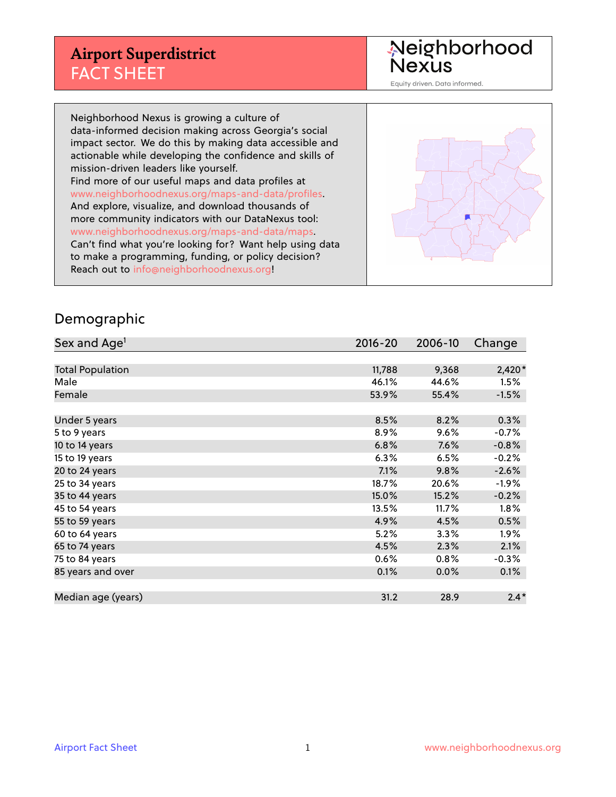Neighborhood<br>Nexus

Equity driven. Data informed.

Neighborhood Nexus is growing a culture of data-informed decision making across Georgia's social impact sector. We do this by making data accessible and actionable while developing the confidence and skills of mission-driven leaders like yourself. Find more of our useful maps and data profiles at www.neighborhoodnexus.org/maps-and-data/profiles. And explore, visualize, and download thousands of more community indicators with our DataNexus tool: www.neighborhoodnexus.org/maps-and-data/maps. Can't find what you're looking for? Want help using data to make a programming, funding, or policy decision? Reach out to [info@neighborhoodnexus.org!](mailto:info@neighborhoodnexus.org)



#### Demographic

| Sex and Age <sup>1</sup> | $2016 - 20$ | 2006-10 | Change   |
|--------------------------|-------------|---------|----------|
|                          |             |         |          |
| <b>Total Population</b>  | 11,788      | 9,368   | $2,420*$ |
| Male                     | 46.1%       | 44.6%   | 1.5%     |
| Female                   | 53.9%       | 55.4%   | $-1.5%$  |
|                          |             |         |          |
| Under 5 years            | 8.5%        | 8.2%    | 0.3%     |
| 5 to 9 years             | 8.9%        | 9.6%    | $-0.7%$  |
| 10 to 14 years           | 6.8%        | 7.6%    | $-0.8%$  |
| 15 to 19 years           | 6.3%        | 6.5%    | $-0.2%$  |
| 20 to 24 years           | 7.1%        | 9.8%    | $-2.6%$  |
| 25 to 34 years           | 18.7%       | 20.6%   | $-1.9\%$ |
| 35 to 44 years           | 15.0%       | 15.2%   | $-0.2%$  |
| 45 to 54 years           | 13.5%       | 11.7%   | 1.8%     |
| 55 to 59 years           | 4.9%        | 4.5%    | 0.5%     |
| 60 to 64 years           | 5.2%        | 3.3%    | $1.9\%$  |
| 65 to 74 years           | 4.5%        | 2.3%    | 2.1%     |
| 75 to 84 years           | 0.6%        | 0.8%    | $-0.3%$  |
| 85 years and over        | 0.1%        | 0.0%    | 0.1%     |
|                          |             |         |          |
| Median age (years)       | 31.2        | 28.9    | $2.4*$   |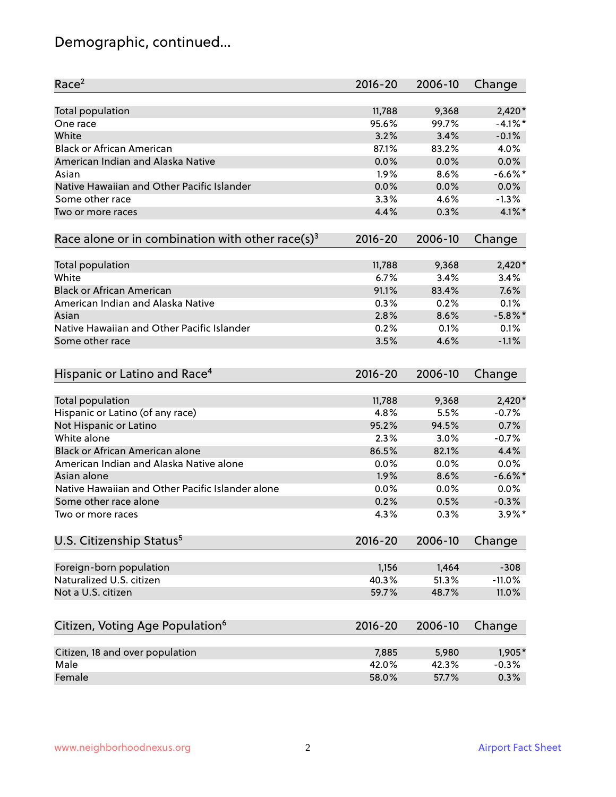# Demographic, continued...

| Race <sup>2</sup>                                            | $2016 - 20$  | 2006-10      | Change             |
|--------------------------------------------------------------|--------------|--------------|--------------------|
| Total population                                             | 11,788       | 9,368        | $2,420*$           |
| One race                                                     | 95.6%        | 99.7%        | $-4.1\%$ *         |
| White                                                        | 3.2%         | 3.4%         | $-0.1%$            |
| <b>Black or African American</b>                             | 87.1%        | 83.2%        | 4.0%               |
| American Indian and Alaska Native                            | 0.0%         | 0.0%         | 0.0%               |
| Asian                                                        | 1.9%         | 8.6%         | $-6.6%$ *          |
| Native Hawaiian and Other Pacific Islander                   | 0.0%         | 0.0%         | 0.0%               |
| Some other race                                              | 3.3%         | 4.6%         | $-1.3%$            |
| Two or more races                                            | 4.4%         | 0.3%         | 4.1%*              |
| Race alone or in combination with other race(s) <sup>3</sup> | $2016 - 20$  | 2006-10      | Change             |
|                                                              |              |              |                    |
| Total population                                             | 11,788       | 9,368        | $2,420*$           |
| White                                                        | 6.7%         | 3.4%         | 3.4%               |
| <b>Black or African American</b>                             | 91.1%        | 83.4%        | 7.6%               |
| American Indian and Alaska Native                            | 0.3%         | 0.2%         | 0.1%               |
| Asian                                                        | 2.8%         | 8.6%         | $-5.8\%$ *         |
| Native Hawaiian and Other Pacific Islander                   | 0.2%         | 0.1%         | 0.1%               |
| Some other race                                              | 3.5%         | 4.6%         | $-1.1%$            |
|                                                              |              |              |                    |
| Hispanic or Latino and Race <sup>4</sup>                     | $2016 - 20$  | 2006-10      | Change             |
| Total population                                             | 11,788       | 9,368        | $2,420*$           |
| Hispanic or Latino (of any race)                             | 4.8%         | 5.5%         | $-0.7%$            |
| Not Hispanic or Latino                                       | 95.2%        | 94.5%        | 0.7%               |
| White alone                                                  | 2.3%         | 3.0%         | $-0.7%$            |
| Black or African American alone                              | 86.5%        | 82.1%        | 4.4%               |
| American Indian and Alaska Native alone                      |              |              |                    |
| Asian alone                                                  | 0.0%<br>1.9% | 0.0%<br>8.6% | 0.0%<br>$-6.6\%$ * |
| Native Hawaiian and Other Pacific Islander alone             |              |              |                    |
| Some other race alone                                        | 0.0%         | 0.0%         | 0.0%               |
|                                                              | 0.2%         | 0.5%         | $-0.3%$            |
| Two or more races                                            | 4.3%         | 0.3%         | $3.9\%$ *          |
| U.S. Citizenship Status <sup>5</sup>                         | $2016 - 20$  | 2006-10      | Change             |
| Foreign-born population                                      | 1,156        | 1,464        | $-308$             |
| Naturalized U.S. citizen                                     | 40.3%        | 51.3%        | $-11.0%$           |
| Not a U.S. citizen                                           | 59.7%        | 48.7%        | 11.0%              |
|                                                              |              |              |                    |
| Citizen, Voting Age Population <sup>6</sup>                  | $2016 - 20$  | 2006-10      | Change             |
| Citizen, 18 and over population                              | 7,885        | 5,980        | 1,905*             |
| Male                                                         | 42.0%        | 42.3%        | $-0.3%$            |
| Female                                                       | 58.0%        | 57.7%        | 0.3%               |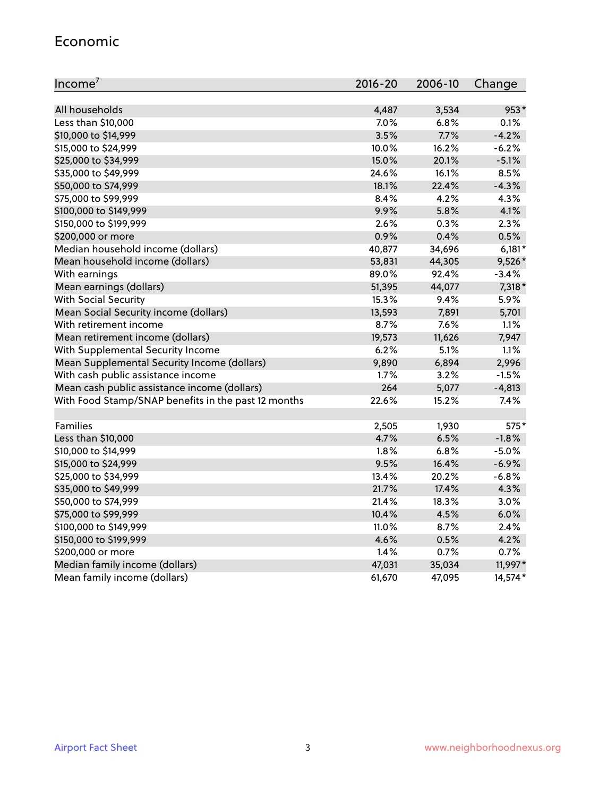#### Economic

| Income <sup>7</sup>                                 | $2016 - 20$ | 2006-10 | Change   |
|-----------------------------------------------------|-------------|---------|----------|
|                                                     |             |         |          |
| All households                                      | 4,487       | 3,534   | 953*     |
| Less than \$10,000                                  | 7.0%        | 6.8%    | 0.1%     |
| \$10,000 to \$14,999                                | 3.5%        | 7.7%    | $-4.2%$  |
| \$15,000 to \$24,999                                | 10.0%       | 16.2%   | $-6.2%$  |
| \$25,000 to \$34,999                                | 15.0%       | 20.1%   | $-5.1%$  |
| \$35,000 to \$49,999                                | 24.6%       | 16.1%   | 8.5%     |
| \$50,000 to \$74,999                                | 18.1%       | 22.4%   | $-4.3%$  |
| \$75,000 to \$99,999                                | $8.4\%$     | 4.2%    | 4.3%     |
| \$100,000 to \$149,999                              | 9.9%        | 5.8%    | 4.1%     |
| \$150,000 to \$199,999                              | 2.6%        | 0.3%    | 2.3%     |
| \$200,000 or more                                   | 0.9%        | 0.4%    | 0.5%     |
| Median household income (dollars)                   | 40,877      | 34,696  | $6,181*$ |
| Mean household income (dollars)                     | 53,831      | 44,305  | 9,526*   |
| With earnings                                       | 89.0%       | 92.4%   | $-3.4%$  |
| Mean earnings (dollars)                             | 51,395      | 44,077  | 7,318 *  |
| <b>With Social Security</b>                         | 15.3%       | 9.4%    | 5.9%     |
| Mean Social Security income (dollars)               | 13,593      | 7,891   | 5,701    |
| With retirement income                              | 8.7%        | 7.6%    | 1.1%     |
| Mean retirement income (dollars)                    | 19,573      | 11,626  | 7,947    |
| With Supplemental Security Income                   | $6.2\%$     | 5.1%    | 1.1%     |
| Mean Supplemental Security Income (dollars)         | 9,890       | 6,894   | 2,996    |
| With cash public assistance income                  | 1.7%        | 3.2%    | $-1.5%$  |
| Mean cash public assistance income (dollars)        | 264         | 5,077   | $-4,813$ |
| With Food Stamp/SNAP benefits in the past 12 months | 22.6%       | 15.2%   | 7.4%     |
|                                                     |             |         |          |
| Families                                            | 2,505       | 1,930   | 575*     |
| Less than \$10,000                                  | 4.7%        | 6.5%    | $-1.8%$  |
| \$10,000 to \$14,999                                | 1.8%        | 6.8%    | $-5.0%$  |
| \$15,000 to \$24,999                                | 9.5%        | 16.4%   | $-6.9%$  |
| \$25,000 to \$34,999                                | 13.4%       | 20.2%   | $-6.8%$  |
| \$35,000 to \$49,999                                | 21.7%       | 17.4%   | 4.3%     |
| \$50,000 to \$74,999                                | 21.4%       | 18.3%   | 3.0%     |
| \$75,000 to \$99,999                                | 10.4%       | 4.5%    | 6.0%     |
| \$100,000 to \$149,999                              | 11.0%       | 8.7%    | 2.4%     |
| \$150,000 to \$199,999                              | 4.6%        | 0.5%    | 4.2%     |
| \$200,000 or more                                   | 1.4%        | 0.7%    | 0.7%     |
| Median family income (dollars)                      | 47,031      | 35,034  | 11,997*  |
| Mean family income (dollars)                        | 61,670      | 47,095  | 14,574*  |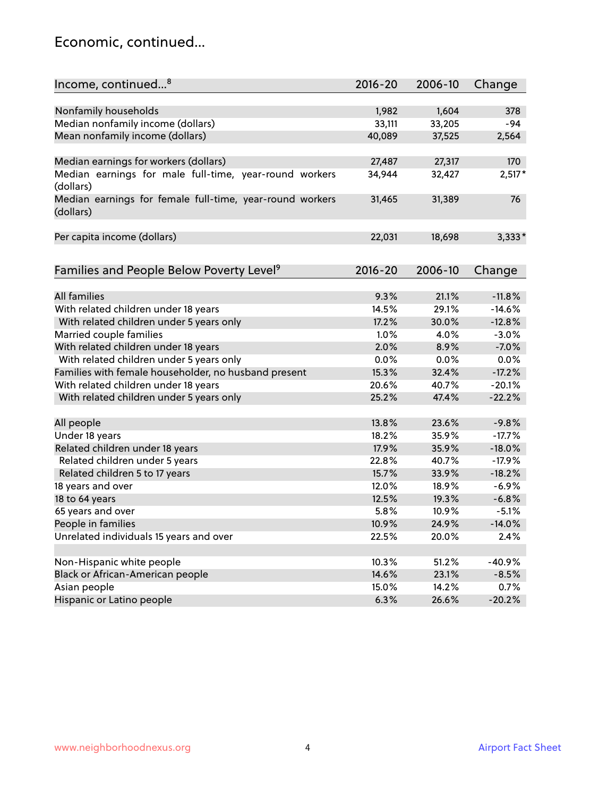#### Economic, continued...

| Income, continued <sup>8</sup>                           | $2016 - 20$ | 2006-10 | Change   |
|----------------------------------------------------------|-------------|---------|----------|
|                                                          |             |         |          |
| Nonfamily households                                     | 1,982       | 1,604   | 378      |
| Median nonfamily income (dollars)                        | 33,111      | 33,205  | -94      |
| Mean nonfamily income (dollars)                          | 40,089      | 37,525  | 2,564    |
|                                                          |             |         |          |
| Median earnings for workers (dollars)                    | 27,487      | 27,317  | 170      |
| Median earnings for male full-time, year-round workers   | 34,944      | 32,427  | $2,517*$ |
| (dollars)                                                |             |         |          |
| Median earnings for female full-time, year-round workers | 31,465      | 31,389  | 76       |
| (dollars)                                                |             |         |          |
|                                                          |             |         |          |
| Per capita income (dollars)                              | 22,031      | 18,698  | $3,333*$ |
|                                                          |             |         |          |
| Families and People Below Poverty Level <sup>9</sup>     | $2016 - 20$ | 2006-10 |          |
|                                                          |             |         | Change   |
| <b>All families</b>                                      | 9.3%        |         |          |
|                                                          |             | 21.1%   | $-11.8%$ |
| With related children under 18 years                     | 14.5%       | 29.1%   | $-14.6%$ |
| With related children under 5 years only                 | 17.2%       | 30.0%   | $-12.8%$ |
| Married couple families                                  | 1.0%        | 4.0%    | $-3.0%$  |
| With related children under 18 years                     | 2.0%        | 8.9%    | $-7.0%$  |
| With related children under 5 years only                 | 0.0%        | 0.0%    | 0.0%     |
| Families with female householder, no husband present     | 15.3%       | 32.4%   | $-17.2%$ |
| With related children under 18 years                     | 20.6%       | 40.7%   | $-20.1%$ |
| With related children under 5 years only                 | 25.2%       | 47.4%   | $-22.2%$ |
|                                                          |             |         |          |
| All people                                               | 13.8%       | 23.6%   | $-9.8%$  |
| Under 18 years                                           | 18.2%       | 35.9%   | $-17.7%$ |
| Related children under 18 years                          | 17.9%       | 35.9%   | $-18.0%$ |
| Related children under 5 years                           | 22.8%       | 40.7%   | $-17.9%$ |
| Related children 5 to 17 years                           | 15.7%       | 33.9%   | $-18.2%$ |
| 18 years and over                                        | 12.0%       | 18.9%   | $-6.9%$  |
| 18 to 64 years                                           | 12.5%       | 19.3%   | $-6.8%$  |
| 65 years and over                                        | 5.8%        | 10.9%   | $-5.1%$  |
| People in families                                       | 10.9%       | 24.9%   | $-14.0%$ |
| Unrelated individuals 15 years and over                  | 22.5%       | 20.0%   | 2.4%     |
|                                                          |             |         |          |
| Non-Hispanic white people                                | 10.3%       | 51.2%   | $-40.9%$ |
| Black or African-American people                         | 14.6%       | 23.1%   | $-8.5%$  |
| Asian people                                             | 15.0%       | 14.2%   | 0.7%     |
| Hispanic or Latino people                                | 6.3%        | 26.6%   | $-20.2%$ |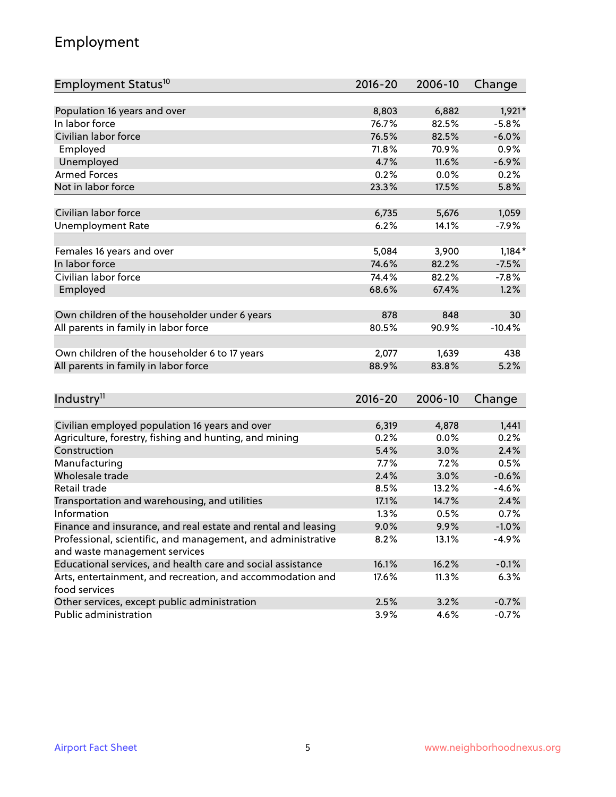# Employment

| Employment Status <sup>10</sup>                                             | $2016 - 20$ | 2006-10 | Change   |
|-----------------------------------------------------------------------------|-------------|---------|----------|
|                                                                             |             |         |          |
| Population 16 years and over                                                | 8,803       | 6,882   | $1,921*$ |
| In labor force                                                              | 76.7%       | 82.5%   | $-5.8%$  |
| Civilian labor force                                                        | 76.5%       | 82.5%   | $-6.0%$  |
| Employed                                                                    | 71.8%       | 70.9%   | 0.9%     |
| Unemployed                                                                  | 4.7%        | 11.6%   | $-6.9%$  |
| <b>Armed Forces</b>                                                         | 0.2%        | 0.0%    | 0.2%     |
| Not in labor force                                                          | 23.3%       | 17.5%   | 5.8%     |
|                                                                             |             |         |          |
| Civilian labor force                                                        | 6,735       | 5,676   | 1,059    |
| <b>Unemployment Rate</b>                                                    | 6.2%        | 14.1%   | $-7.9%$  |
| Females 16 years and over                                                   | 5,084       | 3,900   | $1,184*$ |
| In labor force                                                              | 74.6%       | 82.2%   | $-7.5%$  |
| Civilian labor force                                                        | 74.4%       | 82.2%   | $-7.8%$  |
| Employed                                                                    | 68.6%       | 67.4%   | 1.2%     |
|                                                                             |             |         |          |
| Own children of the householder under 6 years                               | 878         | 848     | 30       |
| All parents in family in labor force                                        | 80.5%       | 90.9%   | $-10.4%$ |
|                                                                             |             |         |          |
| Own children of the householder 6 to 17 years                               | 2,077       | 1,639   | 438      |
| All parents in family in labor force                                        | 88.9%       | 83.8%   | 5.2%     |
|                                                                             |             |         |          |
| Industry <sup>11</sup>                                                      | $2016 - 20$ | 2006-10 | Change   |
|                                                                             |             |         |          |
| Civilian employed population 16 years and over                              | 6,319       | 4,878   | 1,441    |
| Agriculture, forestry, fishing and hunting, and mining                      | 0.2%        | 0.0%    | 0.2%     |
| Construction                                                                | 5.4%        | 3.0%    | 2.4%     |
| Manufacturing                                                               | 7.7%        | 7.2%    | 0.5%     |
| Wholesale trade                                                             | 2.4%        | 3.0%    | $-0.6%$  |
| Retail trade                                                                | 8.5%        | 13.2%   | $-4.6%$  |
| Transportation and warehousing, and utilities                               | 17.1%       | 14.7%   | 2.4%     |
| Information                                                                 | 1.3%        | 0.5%    | 0.7%     |
| Finance and insurance, and real estate and rental and leasing               | 9.0%        | 9.9%    | $-1.0%$  |
| Professional, scientific, and management, and administrative                | 8.2%        | 13.1%   | $-4.9%$  |
| and waste management services                                               |             |         |          |
| Educational services, and health care and social assistance                 | 16.1%       | 16.2%   | $-0.1%$  |
| Arts, entertainment, and recreation, and accommodation and<br>food services | 17.6%       | 11.3%   | 6.3%     |
| Other services, except public administration                                | 2.5%        | 3.2%    | $-0.7%$  |
| Public administration                                                       | $3.9\%$     | 4.6%    | $-0.7\%$ |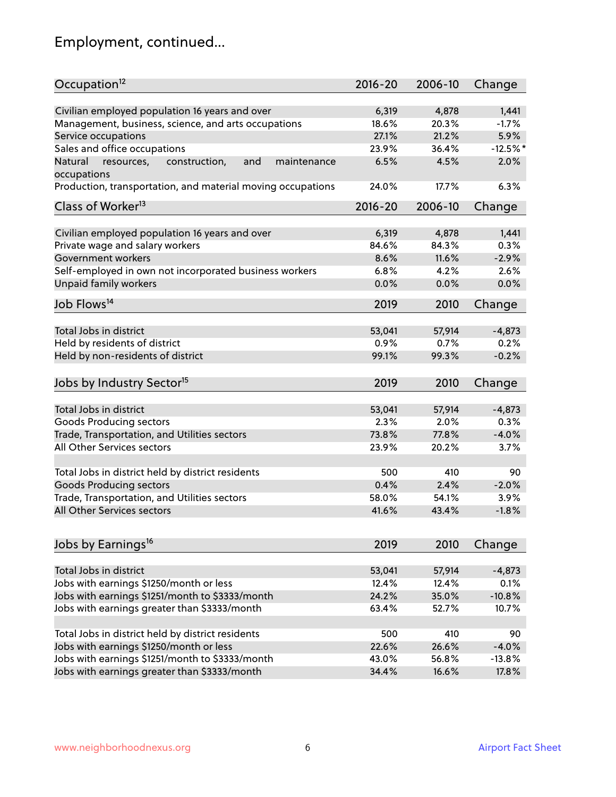# Employment, continued...

| Occupation <sup>12</sup>                                                    | $2016 - 20$    | 2006-10 | Change          |
|-----------------------------------------------------------------------------|----------------|---------|-----------------|
|                                                                             |                | 4,878   |                 |
| Civilian employed population 16 years and over                              | 6,319          | 20.3%   | 1,441           |
| Management, business, science, and arts occupations                         | 18.6%<br>27.1% | 21.2%   | $-1.7%$<br>5.9% |
| Service occupations                                                         |                | 36.4%   | $-12.5%$ *      |
| Sales and office occupations                                                | 23.9%          |         |                 |
| Natural<br>and<br>resources,<br>construction,<br>maintenance<br>occupations | 6.5%           | 4.5%    | 2.0%            |
| Production, transportation, and material moving occupations                 | 24.0%          | 17.7%   | 6.3%            |
| Class of Worker <sup>13</sup>                                               | $2016 - 20$    | 2006-10 | Change          |
|                                                                             |                |         |                 |
| Civilian employed population 16 years and over                              | 6,319          | 4,878   | 1,441           |
| Private wage and salary workers                                             | 84.6%          | 84.3%   | 0.3%            |
| Government workers                                                          | 8.6%           | 11.6%   | $-2.9%$         |
| Self-employed in own not incorporated business workers                      | 6.8%           | 4.2%    | 2.6%            |
| <b>Unpaid family workers</b>                                                | 0.0%           | 0.0%    | 0.0%            |
| Job Flows <sup>14</sup>                                                     | 2019           | 2010    | Change          |
|                                                                             |                |         |                 |
| Total Jobs in district                                                      | 53,041         | 57,914  | $-4,873$        |
| Held by residents of district                                               | 0.9%           | 0.7%    | 0.2%            |
| Held by non-residents of district                                           | 99.1%          | 99.3%   | $-0.2%$         |
|                                                                             |                |         |                 |
| Jobs by Industry Sector <sup>15</sup>                                       | 2019           | 2010    | Change          |
| Total Jobs in district                                                      | 53,041         | 57,914  | $-4,873$        |
| Goods Producing sectors                                                     | 2.3%           | 2.0%    | 0.3%            |
| Trade, Transportation, and Utilities sectors                                | 73.8%          | 77.8%   | $-4.0%$         |
| All Other Services sectors                                                  | 23.9%          | 20.2%   | 3.7%            |
|                                                                             |                |         |                 |
| Total Jobs in district held by district residents                           | 500            | 410     | 90              |
| <b>Goods Producing sectors</b>                                              | 0.4%           | 2.4%    | $-2.0%$         |
| Trade, Transportation, and Utilities sectors                                | 58.0%          | 54.1%   | 3.9%            |
| All Other Services sectors                                                  | 41.6%          | 43.4%   | $-1.8%$         |
|                                                                             |                |         |                 |
| Jobs by Earnings <sup>16</sup>                                              | 2019           | 2010    | Change          |
|                                                                             |                |         |                 |
| Total Jobs in district                                                      | 53,041         | 57,914  | $-4,873$        |
| Jobs with earnings \$1250/month or less                                     | 12.4%          | 12.4%   | 0.1%            |
| Jobs with earnings \$1251/month to \$3333/month                             | 24.2%          | 35.0%   | $-10.8%$        |
| Jobs with earnings greater than \$3333/month                                | 63.4%          | 52.7%   | 10.7%           |
|                                                                             | 500            | 410     | 90              |
| Total Jobs in district held by district residents                           |                |         |                 |
| Jobs with earnings \$1250/month or less                                     | 22.6%          | 26.6%   | $-4.0%$         |
| Jobs with earnings \$1251/month to \$3333/month                             | 43.0%          | 56.8%   | $-13.8%$        |
| Jobs with earnings greater than \$3333/month                                | 34.4%          | 16.6%   | 17.8%           |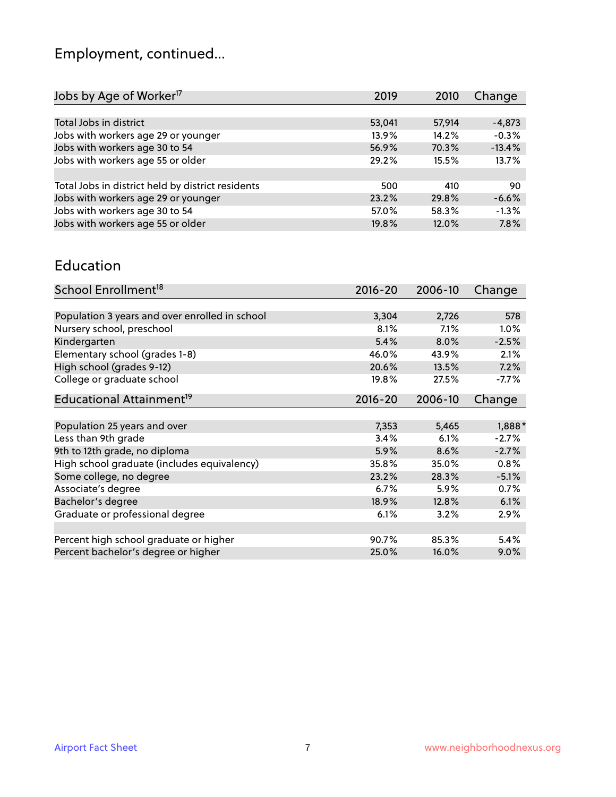# Employment, continued...

| Jobs by Age of Worker <sup>17</sup>               | 2019   | 2010   | Change   |
|---------------------------------------------------|--------|--------|----------|
|                                                   |        |        |          |
| Total Jobs in district                            | 53,041 | 57,914 | $-4,873$ |
| Jobs with workers age 29 or younger               | 13.9%  | 14.2%  | $-0.3%$  |
| Jobs with workers age 30 to 54                    | 56.9%  | 70.3%  | $-13.4%$ |
| Jobs with workers age 55 or older                 | 29.2%  | 15.5%  | 13.7%    |
|                                                   |        |        |          |
| Total Jobs in district held by district residents | 500    | 410    | 90       |
| Jobs with workers age 29 or younger               | 23.2%  | 29.8%  | $-6.6%$  |
| Jobs with workers age 30 to 54                    | 57.0%  | 58.3%  | $-1.3%$  |
| Jobs with workers age 55 or older                 | 19.8%  | 12.0%  | 7.8%     |

#### Education

| School Enrollment <sup>18</sup>                | $2016 - 20$ | 2006-10 | Change  |
|------------------------------------------------|-------------|---------|---------|
|                                                |             |         |         |
| Population 3 years and over enrolled in school | 3,304       | 2,726   | 578     |
| Nursery school, preschool                      | 8.1%        | 7.1%    | $1.0\%$ |
| Kindergarten                                   | 5.4%        | 8.0%    | $-2.5%$ |
| Elementary school (grades 1-8)                 | 46.0%       | 43.9%   | 2.1%    |
| High school (grades 9-12)                      | 20.6%       | 13.5%   | 7.2%    |
| College or graduate school                     | 19.8%       | 27.5%   | $-7.7%$ |
| Educational Attainment <sup>19</sup>           | $2016 - 20$ | 2006-10 | Change  |
|                                                |             |         |         |
| Population 25 years and over                   | 7,353       | 5,465   | 1,888*  |
| Less than 9th grade                            | 3.4%        | 6.1%    | $-2.7%$ |
| 9th to 12th grade, no diploma                  | 5.9%        | 8.6%    | $-2.7%$ |
| High school graduate (includes equivalency)    | 35.8%       | 35.0%   | 0.8%    |
| Some college, no degree                        | 23.2%       | 28.3%   | $-5.1%$ |
| Associate's degree                             | 6.7%        | 5.9%    | 0.7%    |
| Bachelor's degree                              | 18.9%       | 12.8%   | 6.1%    |
| Graduate or professional degree                | 6.1%        | 3.2%    | 2.9%    |
|                                                |             |         |         |
| Percent high school graduate or higher         | 90.7%       | 85.3%   | 5.4%    |
| Percent bachelor's degree or higher            | 25.0%       | 16.0%   | $9.0\%$ |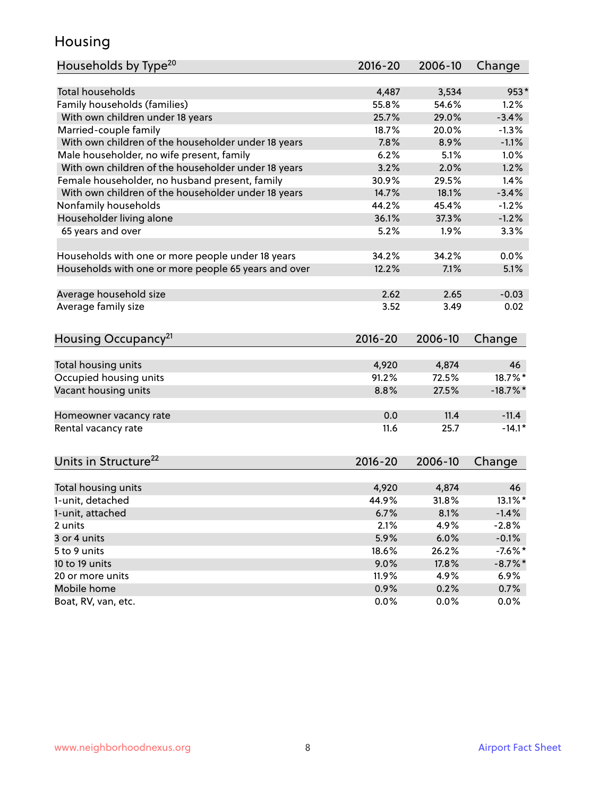#### Housing

| Households by Type <sup>20</sup>                     | 2016-20      | 2006-10 | Change      |
|------------------------------------------------------|--------------|---------|-------------|
|                                                      |              |         |             |
| <b>Total households</b>                              | 4,487        | 3,534   | $953*$      |
| Family households (families)                         | 55.8%        | 54.6%   | 1.2%        |
| With own children under 18 years                     | 25.7%        | 29.0%   | $-3.4%$     |
| Married-couple family                                | 18.7%        | 20.0%   | $-1.3%$     |
| With own children of the householder under 18 years  | 7.8%         | 8.9%    | $-1.1%$     |
| Male householder, no wife present, family            | 6.2%         | 5.1%    | 1.0%        |
| With own children of the householder under 18 years  | 3.2%         | 2.0%    | 1.2%        |
| Female householder, no husband present, family       | 30.9%        | 29.5%   | 1.4%        |
| With own children of the householder under 18 years  | 14.7%        | 18.1%   | $-3.4%$     |
| Nonfamily households                                 | 44.2%        | 45.4%   | $-1.2%$     |
| Householder living alone                             | 36.1%        | 37.3%   | $-1.2%$     |
| 65 years and over                                    | 5.2%         | 1.9%    | 3.3%        |
|                                                      |              |         |             |
| Households with one or more people under 18 years    | 34.2%        | 34.2%   | 0.0%        |
| Households with one or more people 65 years and over | 12.2%        | 7.1%    | 5.1%        |
|                                                      |              |         |             |
| Average household size                               | 2.62         | 2.65    | $-0.03$     |
| Average family size                                  | 3.52         | 3.49    | 0.02        |
|                                                      |              |         |             |
| Housing Occupancy <sup>21</sup>                      | $2016 - 20$  | 2006-10 | Change      |
|                                                      |              |         |             |
| Total housing units                                  | 4,920        | 4,874   | 46          |
| Occupied housing units                               | 91.2%        | 72.5%   | 18.7%*      |
| Vacant housing units                                 | 8.8%         | 27.5%   | $-18.7\%$ * |
|                                                      |              |         |             |
| Homeowner vacancy rate                               | 0.0          | 11.4    | $-11.4$     |
| Rental vacancy rate                                  | 11.6         | 25.7    | $-14.1*$    |
|                                                      |              |         |             |
|                                                      |              |         |             |
| Units in Structure <sup>22</sup>                     | 2016-20      | 2006-10 | Change      |
| Total housing units                                  | 4,920        | 4,874   | 46          |
| 1-unit, detached                                     | 44.9%        | 31.8%   | $13.1\%$ *  |
|                                                      |              | 8.1%    | $-1.4%$     |
| 1-unit, attached<br>2 units                          | 6.7%<br>2.1% | 4.9%    | $-2.8%$     |
| 3 or 4 units                                         | 5.9%         |         | $-0.1%$     |
| 5 to 9 units                                         |              | 6.0%    | $-7.6%$ *   |
|                                                      | 18.6%        | 26.2%   |             |
| 10 to 19 units                                       | 9.0%         | 17.8%   | $-8.7\%$ *  |
| 20 or more units                                     | 11.9%        | 4.9%    | 6.9%        |
| Mobile home                                          | 0.9%         | 0.2%    | 0.7%        |
| Boat, RV, van, etc.                                  | 0.0%         | $0.0\%$ | $0.0\%$     |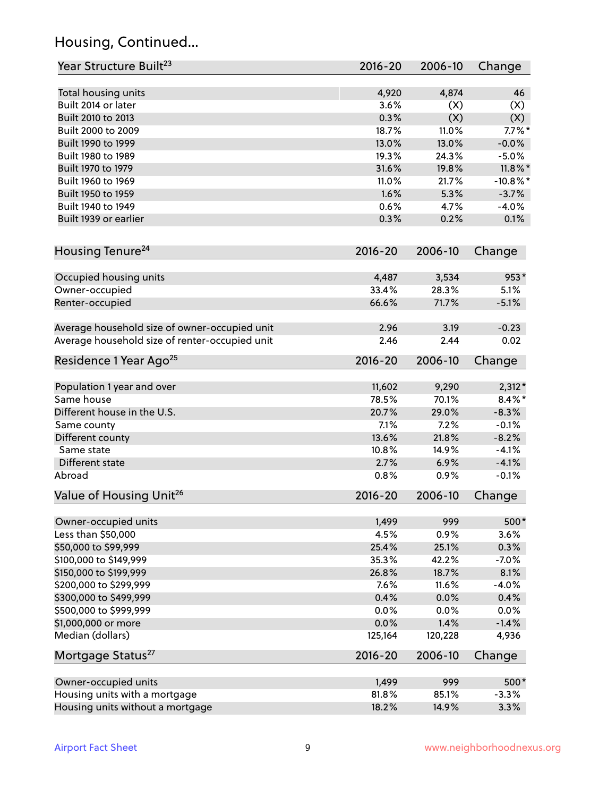# Housing, Continued...

| Year Structure Built <sup>23</sup>             | 2016-20     | 2006-10 | Change      |
|------------------------------------------------|-------------|---------|-------------|
| Total housing units                            | 4,920       | 4,874   | 46          |
| Built 2014 or later                            | 3.6%        | (X)     | (X)         |
| Built 2010 to 2013                             | 0.3%        | (X)     | (X)         |
| Built 2000 to 2009                             | 18.7%       | 11.0%   | $7.7\%$ *   |
| Built 1990 to 1999                             | 13.0%       | 13.0%   | $-0.0%$     |
| Built 1980 to 1989                             | 19.3%       | 24.3%   | $-5.0%$     |
| Built 1970 to 1979                             | 31.6%       | 19.8%   | $11.8\%$ *  |
| Built 1960 to 1969                             | 11.0%       | 21.7%   | $-10.8\%$ * |
| Built 1950 to 1959                             | 1.6%        | 5.3%    | $-3.7%$     |
| Built 1940 to 1949                             | 0.6%        | 4.7%    | $-4.0%$     |
| Built 1939 or earlier                          | 0.3%        | 0.2%    | 0.1%        |
| Housing Tenure <sup>24</sup>                   | $2016 - 20$ | 2006-10 | Change      |
|                                                |             |         |             |
| Occupied housing units                         | 4,487       | 3,534   | $953*$      |
| Owner-occupied                                 | 33.4%       | 28.3%   | 5.1%        |
| Renter-occupied                                | 66.6%       | 71.7%   | $-5.1%$     |
| Average household size of owner-occupied unit  | 2.96        | 3.19    | $-0.23$     |
| Average household size of renter-occupied unit | 2.46        | 2.44    | 0.02        |
| Residence 1 Year Ago <sup>25</sup>             | $2016 - 20$ | 2006-10 | Change      |
|                                                |             |         |             |
| Population 1 year and over                     | 11,602      | 9,290   | $2,312*$    |
| Same house                                     | 78.5%       | 70.1%   | $8.4\%*$    |
| Different house in the U.S.                    | 20.7%       | 29.0%   | $-8.3%$     |
| Same county                                    | 7.1%        | 7.2%    | $-0.1%$     |
| Different county                               | 13.6%       | 21.8%   | $-8.2%$     |
| Same state                                     | 10.8%       | 14.9%   | $-4.1%$     |
| Different state                                | 2.7%        | 6.9%    | $-4.1%$     |
| Abroad                                         | 0.8%        | 0.9%    | $-0.1%$     |
| Value of Housing Unit <sup>26</sup>            | $2016 - 20$ | 2006-10 | Change      |
| Owner-occupied units                           | 1,499       | 999     | 500*        |
| Less than \$50,000                             | 4.5%        | 0.9%    | 3.6%        |
| \$50,000 to \$99,999                           | 25.4%       | 25.1%   | 0.3%        |
| \$100,000 to \$149,999                         | 35.3%       | 42.2%   | $-7.0%$     |
| \$150,000 to \$199,999                         | 26.8%       | 18.7%   | 8.1%        |
| \$200,000 to \$299,999                         | 7.6%        | 11.6%   | $-4.0%$     |
| \$300,000 to \$499,999                         | 0.4%        | 0.0%    | 0.4%        |
| \$500,000 to \$999,999                         | 0.0%        | 0.0%    | 0.0%        |
| \$1,000,000 or more                            | 0.0%        | 1.4%    | $-1.4%$     |
| Median (dollars)                               | 125,164     | 120,228 | 4,936       |
| Mortgage Status <sup>27</sup>                  | $2016 - 20$ | 2006-10 | Change      |
| Owner-occupied units                           | 1,499       | 999     | 500*        |
| Housing units with a mortgage                  | 81.8%       | 85.1%   | $-3.3%$     |
| Housing units without a mortgage               | 18.2%       | 14.9%   | 3.3%        |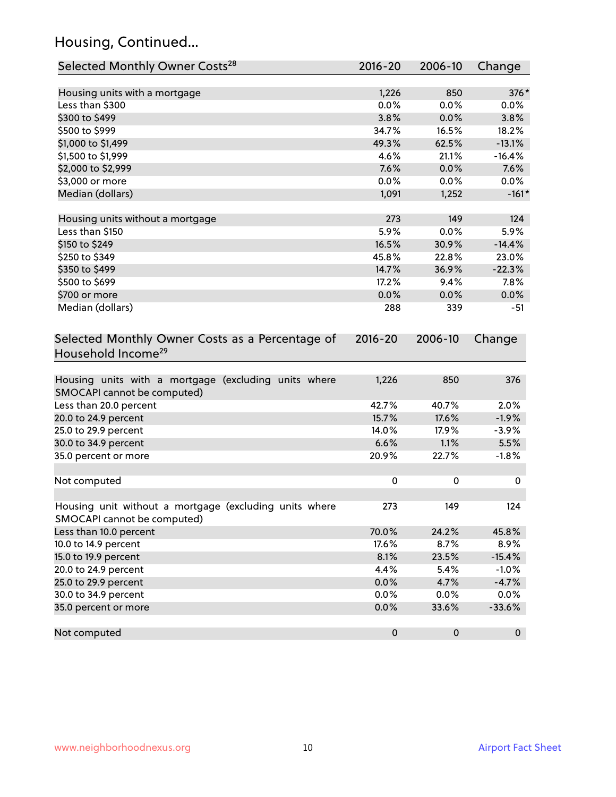# Housing, Continued...

| Selected Monthly Owner Costs <sup>28</sup>                                            | 2016-20       | 2006-10   | Change       |
|---------------------------------------------------------------------------------------|---------------|-----------|--------------|
|                                                                                       |               | 850       | 376*         |
| Housing units with a mortgage<br>Less than \$300                                      | 1,226<br>0.0% | 0.0%      | 0.0%         |
| \$300 to \$499                                                                        | 3.8%          | 0.0%      | 3.8%         |
| \$500 to \$999                                                                        | 34.7%         | 16.5%     | 18.2%        |
| \$1,000 to \$1,499                                                                    | 49.3%         | 62.5%     | $-13.1%$     |
| \$1,500 to \$1,999                                                                    | 4.6%          | 21.1%     | $-16.4%$     |
| \$2,000 to \$2,999                                                                    | 7.6%          | 0.0%      | 7.6%         |
| \$3,000 or more                                                                       | 0.0%          | 0.0%      | 0.0%         |
| Median (dollars)                                                                      | 1,091         | 1,252     | $-161*$      |
|                                                                                       |               |           |              |
| Housing units without a mortgage                                                      | 273           | 149       | 124          |
| Less than \$150                                                                       | 5.9%          | 0.0%      | 5.9%         |
| \$150 to \$249                                                                        | 16.5%         | 30.9%     | $-14.4%$     |
| \$250 to \$349                                                                        | 45.8%         | 22.8%     | 23.0%        |
| \$350 to \$499                                                                        | 14.7%         | 36.9%     | $-22.3%$     |
| \$500 to \$699                                                                        | 17.2%         | 9.4%      | 7.8%         |
| \$700 or more                                                                         | 0.0%          | 0.0%      | 0.0%         |
| Median (dollars)                                                                      | 288           | 339       | $-51$        |
| Selected Monthly Owner Costs as a Percentage of<br>Household Income <sup>29</sup>     | $2016 - 20$   | 2006-10   | Change       |
| Housing units with a mortgage (excluding units where<br>SMOCAPI cannot be computed)   | 1,226         | 850       | 376          |
| Less than 20.0 percent                                                                | 42.7%         | 40.7%     | 2.0%         |
| 20.0 to 24.9 percent                                                                  | 15.7%         | 17.6%     | $-1.9%$      |
| 25.0 to 29.9 percent                                                                  | 14.0%         | 17.9%     | $-3.9%$      |
| 30.0 to 34.9 percent                                                                  | 6.6%          | 1.1%      | 5.5%         |
| 35.0 percent or more                                                                  | 20.9%         | 22.7%     | $-1.8%$      |
| Not computed                                                                          | 0             | 0         | 0            |
| Housing unit without a mortgage (excluding units where<br>SMOCAPI cannot be computed) | 273           | 149       | 124          |
| Less than 10.0 percent                                                                | 70.0%         | 24.2%     | 45.8%        |
| 10.0 to 14.9 percent                                                                  | 17.6%         | 8.7%      | 8.9%         |
| 15.0 to 19.9 percent                                                                  | 8.1%          | 23.5%     | $-15.4%$     |
| 20.0 to 24.9 percent                                                                  | 4.4%          | 5.4%      | $-1.0%$      |
| 25.0 to 29.9 percent                                                                  | 0.0%          | 4.7%      | $-4.7%$      |
| 30.0 to 34.9 percent                                                                  | 0.0%          | 0.0%      | 0.0%         |
| 35.0 percent or more                                                                  | 0.0%          | 33.6%     | $-33.6%$     |
| Not computed                                                                          | $\pmb{0}$     | $\pmb{0}$ | $\mathbf{0}$ |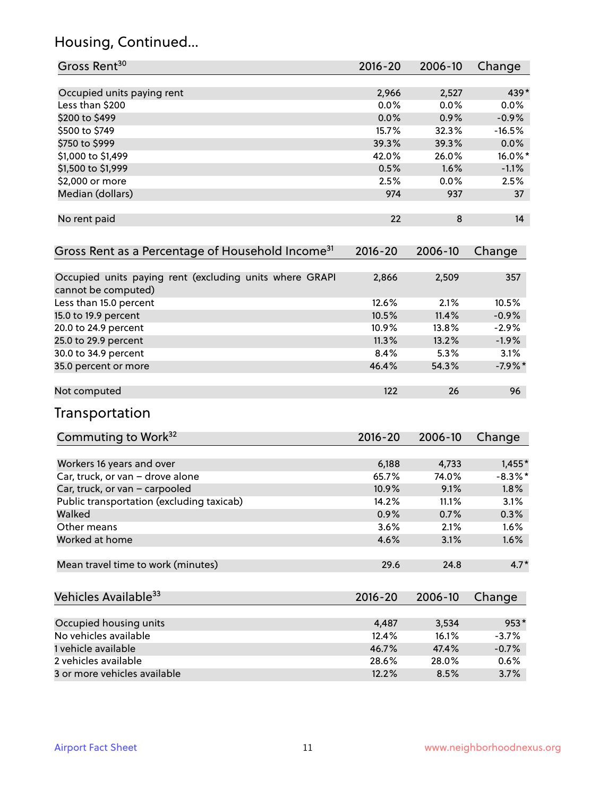# Housing, Continued...

| Gross Rent <sup>30</sup>                                                       | 2016-20     | 2006-10 | Change     |
|--------------------------------------------------------------------------------|-------------|---------|------------|
| Occupied units paying rent                                                     | 2,966       | 2,527   | 439*       |
| Less than \$200                                                                | 0.0%        | 0.0%    | 0.0%       |
| \$200 to \$499                                                                 | 0.0%        | 0.9%    | $-0.9%$    |
| \$500 to \$749                                                                 | 15.7%       | 32.3%   | $-16.5%$   |
| \$750 to \$999                                                                 | 39.3%       | 39.3%   | 0.0%       |
| \$1,000 to \$1,499                                                             | 42.0%       | 26.0%   | 16.0%*     |
| \$1,500 to \$1,999                                                             | 0.5%        | 1.6%    | $-1.1%$    |
| \$2,000 or more                                                                | 2.5%        | 0.0%    | 2.5%       |
| Median (dollars)                                                               | 974         | 937     | 37         |
| No rent paid                                                                   | 22          | 8       | 14         |
| Gross Rent as a Percentage of Household Income <sup>31</sup>                   | $2016 - 20$ | 2006-10 | Change     |
| Occupied units paying rent (excluding units where GRAPI<br>cannot be computed) | 2,866       | 2,509   | 357        |
| Less than 15.0 percent                                                         | 12.6%       | 2.1%    | 10.5%      |
| 15.0 to 19.9 percent                                                           | 10.5%       | 11.4%   | $-0.9%$    |
| 20.0 to 24.9 percent                                                           | 10.9%       | 13.8%   | $-2.9%$    |
| 25.0 to 29.9 percent                                                           | 11.3%       | 13.2%   | $-1.9%$    |
| 30.0 to 34.9 percent                                                           | 8.4%        | 5.3%    | 3.1%       |
| 35.0 percent or more                                                           | 46.4%       | 54.3%   | $-7.9%$ *  |
| Not computed                                                                   | 122         | 26      | 96         |
| Transportation                                                                 |             |         |            |
| Commuting to Work <sup>32</sup>                                                | 2016-20     | 2006-10 | Change     |
| Workers 16 years and over                                                      | 6,188       | 4,733   | $1,455*$   |
| Car, truck, or van - drove alone                                               | 65.7%       | 74.0%   | $-8.3\%$ * |
| Car, truck, or van - carpooled                                                 | 10.9%       | 9.1%    | 1.8%       |
| Public transportation (excluding taxicab)                                      | 14.2%       | 11.1%   | 3.1%       |
| Walked                                                                         | 0.9%        | 0.7%    | 0.3%       |
| Other means                                                                    | 3.6%        | 2.1%    | 1.6%       |
| Worked at home                                                                 | 4.6%        | 3.1%    | 1.6%       |
| Mean travel time to work (minutes)                                             | 29.6        | 24.8    | $4.7*$     |
| Vehicles Available <sup>33</sup>                                               | $2016 - 20$ | 2006-10 | Change     |
| Occupied housing units                                                         | 4,487       | 3,534   | $953*$     |
| No vehicles available                                                          | 12.4%       | 16.1%   | $-3.7%$    |
| 1 vehicle available                                                            | 46.7%       | 47.4%   | $-0.7%$    |
| 2 vehicles available                                                           | 28.6%       | 28.0%   | 0.6%       |
| 3 or more vehicles available                                                   | 12.2%       | 8.5%    | 3.7%       |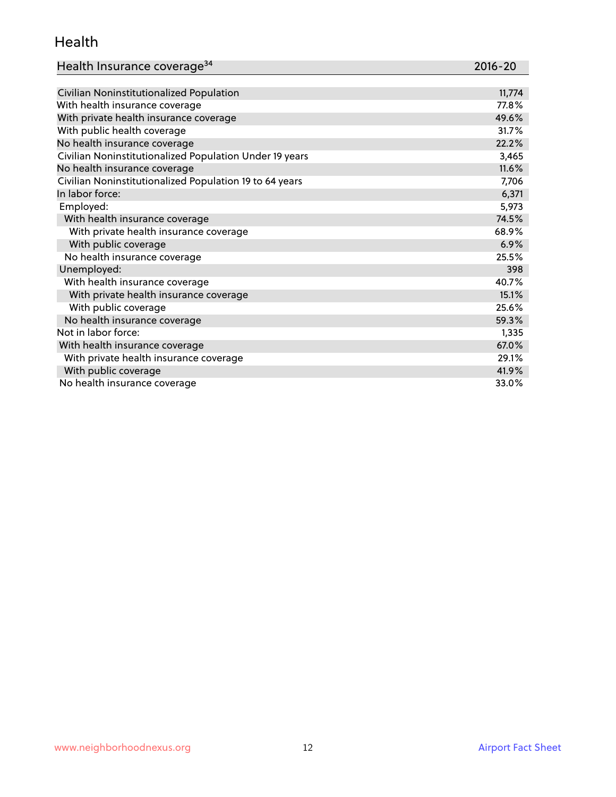#### Health

| Health Insurance coverage <sup>34</sup> | 2016-20 |
|-----------------------------------------|---------|
|-----------------------------------------|---------|

| Civilian Noninstitutionalized Population                | 11,774 |
|---------------------------------------------------------|--------|
| With health insurance coverage                          | 77.8%  |
| With private health insurance coverage                  | 49.6%  |
| With public health coverage                             | 31.7%  |
| No health insurance coverage                            | 22.2%  |
| Civilian Noninstitutionalized Population Under 19 years | 3,465  |
| No health insurance coverage                            | 11.6%  |
| Civilian Noninstitutionalized Population 19 to 64 years | 7,706  |
| In labor force:                                         | 6,371  |
| Employed:                                               | 5,973  |
| With health insurance coverage                          | 74.5%  |
| With private health insurance coverage                  | 68.9%  |
| With public coverage                                    | 6.9%   |
| No health insurance coverage                            | 25.5%  |
| Unemployed:                                             | 398    |
| With health insurance coverage                          | 40.7%  |
| With private health insurance coverage                  | 15.1%  |
| With public coverage                                    | 25.6%  |
| No health insurance coverage                            | 59.3%  |
| Not in labor force:                                     | 1,335  |
| With health insurance coverage                          | 67.0%  |
| With private health insurance coverage                  | 29.1%  |
| With public coverage                                    | 41.9%  |
| No health insurance coverage                            | 33.0%  |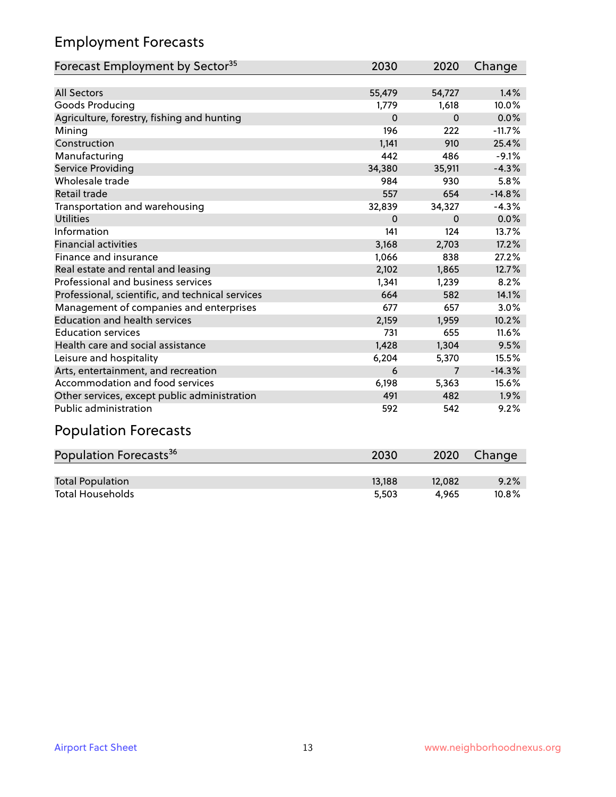# Employment Forecasts

| Forecast Employment by Sector <sup>35</sup>      | 2030     | 2020        | Change   |
|--------------------------------------------------|----------|-------------|----------|
|                                                  |          |             |          |
| <b>All Sectors</b>                               | 55,479   | 54,727      | 1.4%     |
| Goods Producing                                  | 1,779    | 1,618       | 10.0%    |
| Agriculture, forestry, fishing and hunting       | $\Omega$ | $\mathbf 0$ | 0.0%     |
| Mining                                           | 196      | 222         | $-11.7%$ |
| Construction                                     | 1,141    | 910         | 25.4%    |
| Manufacturing                                    | 442      | 486         | $-9.1%$  |
| Service Providing                                | 34,380   | 35,911      | $-4.3%$  |
| Wholesale trade                                  | 984      | 930         | 5.8%     |
| Retail trade                                     | 557      | 654         | $-14.8%$ |
| Transportation and warehousing                   | 32,839   | 34,327      | $-4.3%$  |
| <b>Utilities</b>                                 | $\Omega$ | 0           | 0.0%     |
| Information                                      | 141      | 124         | 13.7%    |
| <b>Financial activities</b>                      | 3,168    | 2,703       | 17.2%    |
| Finance and insurance                            | 1,066    | 838         | 27.2%    |
| Real estate and rental and leasing               | 2,102    | 1,865       | 12.7%    |
| Professional and business services               | 1,341    | 1,239       | 8.2%     |
| Professional, scientific, and technical services | 664      | 582         | 14.1%    |
| Management of companies and enterprises          | 677      | 657         | 3.0%     |
| <b>Education and health services</b>             | 2,159    | 1,959       | 10.2%    |
| <b>Education services</b>                        | 731      | 655         | 11.6%    |
| Health care and social assistance                | 1,428    | 1,304       | 9.5%     |
| Leisure and hospitality                          | 6,204    | 5,370       | 15.5%    |
| Arts, entertainment, and recreation              | 6        | 7           | $-14.3%$ |
| Accommodation and food services                  | 6,198    | 5,363       | 15.6%    |
| Other services, except public administration     | 491      | 482         | 1.9%     |
| Public administration                            | 592      | 542         | 9.2%     |
| <b>Population Forecasts</b>                      |          |             |          |

| Population Forecasts <sup>36</sup> | 2030   | 2020   | Change   |
|------------------------------------|--------|--------|----------|
|                                    |        |        |          |
| <b>Total Population</b>            | 13.188 | 12.082 | 9.2%     |
| <b>Total Households</b>            | 5.503  | 4.965  | $10.8\%$ |